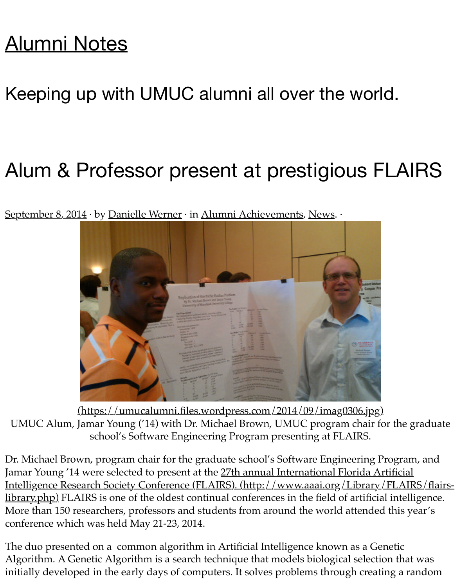## [Alumni Notes](https://umucalumni.wordpress.com/)

## Keeping up with UMUC alumni all over the world.

## Alum & Professor present at prestigious FLAIRS

[September 8, 2014](https://umucalumni.wordpress.com/2014/09/08/alum-professor-present-at-prestigious-flairs/) · by [Danielle Werner](https://umucalumni.wordpress.com/author/wernerdanielle/) · in [Alumni Achievements,](https://umucalumni.wordpress.com/category/alumni-achievements/) [News.](https://umucalumni.wordpress.com/category/news/) ·



[\(https://umucalumni.files.wordpress.com/2014/09/imag0306.jpg\)](https://umucalumni.files.wordpress.com/2014/09/imag0306.jpg) UMUC Alum, Jamar Young ('14) with Dr. Michael Brown, UMUC program chair for the graduate school's Software Engineering Program presenting at FLAIRS.

Dr. Michael Brown, program chair for the graduate school's Software Engineering Program, and Jamar Young '14 were selected to present at the 27th annual International Florida Artificial [Intelligence Research Society Conference \(FLAIRS\). \(http://www.aaai.org/Library/FLAIRS/flairs](http://www.aaai.org/Library/FLAIRS/flairs-library.php)library.php) FLAIRS is one of the oldest continual conferences in the field of artificial intelligence. More than 150 researchers, professors and students from around the world attended this year's conference which was held May 21-23, 2014.

The duo presented on a common algorithm in Artificial Intelligence known as a Genetic Algorithm. A Genetic Algorithm is a search technique that models biological selection that was initially developed in the early days of computers. It solves problems through creating a random